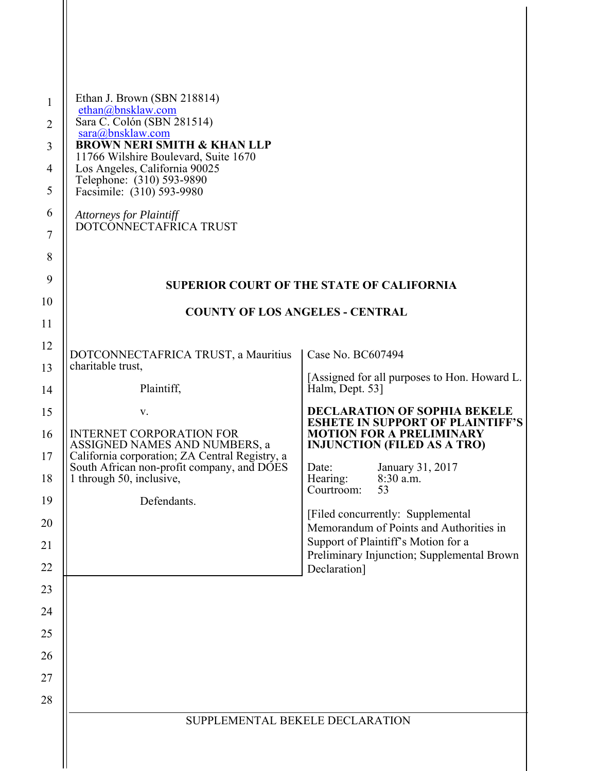| $\mathbf{1}$<br>$\overline{2}$<br>3<br>$\overline{4}$<br>5<br>6<br>7<br>8 | Ethan J. Brown (SBN 218814)<br>ethan@bnsklaw.com<br>Sara C. Colón (SBN 281514)<br>sara@bnsklaw.com<br><b>BROWN NERI SMITH &amp; KHAN LLP</b><br>11766 Wilshire Boulevard, Suite 1670<br>Los Angeles, California 90025<br>Telephone: (310) 593-9890<br>Facsimile: (310) 593-9980<br><b>Attorneys for Plaintiff</b><br>DOTCONNECTAFRICA TRUST |                                                                                |
|---------------------------------------------------------------------------|---------------------------------------------------------------------------------------------------------------------------------------------------------------------------------------------------------------------------------------------------------------------------------------------------------------------------------------------|--------------------------------------------------------------------------------|
| 9                                                                         |                                                                                                                                                                                                                                                                                                                                             | <b>SUPERIOR COURT OF THE STATE OF CALIFORNIA</b>                               |
| 10                                                                        | <b>COUNTY OF LOS ANGELES - CENTRAL</b>                                                                                                                                                                                                                                                                                                      |                                                                                |
| 11                                                                        |                                                                                                                                                                                                                                                                                                                                             |                                                                                |
| 12                                                                        | DOTCONNECTAFRICA TRUST, a Mauritius                                                                                                                                                                                                                                                                                                         | Case No. BC607494                                                              |
| 13                                                                        | charitable trust,                                                                                                                                                                                                                                                                                                                           | [Assigned for all purposes to Hon. Howard L.                                   |
| 14                                                                        | Plaintiff,                                                                                                                                                                                                                                                                                                                                  | Halm, Dept. 53]                                                                |
| 15                                                                        | V.                                                                                                                                                                                                                                                                                                                                          | <b>DECLARATION OF SOPHIA BEKELE</b><br><b>ESHETE IN SUPPORT OF PLAINTIFF'S</b> |
| 16                                                                        | <b>INTERNET CORPORATION FOR</b><br>ASSIGNED NAMES AND NUMBERS, a                                                                                                                                                                                                                                                                            | <b>MOTION FOR A PRELIMINARY</b><br><b>INJUNCTION (FILED AS A TRO)</b>          |
| 17                                                                        | California corporation; ZA Central Registry, a<br>South African non-profit company, and DOES                                                                                                                                                                                                                                                | January 31, 2017<br>Date:                                                      |
| 18                                                                        | 1 through 50, inclusive,                                                                                                                                                                                                                                                                                                                    | 8:30 a.m.<br>Hearing:<br>Courtroom:<br>53                                      |
| 19                                                                        | Defendants.                                                                                                                                                                                                                                                                                                                                 | [Filed concurrently: Supplemental]                                             |
| 20<br>21                                                                  |                                                                                                                                                                                                                                                                                                                                             | Memorandum of Points and Authorities in<br>Support of Plaintiff's Motion for a |
| 22                                                                        |                                                                                                                                                                                                                                                                                                                                             | Preliminary Injunction; Supplemental Brown<br>Declaration]                     |
| 23                                                                        |                                                                                                                                                                                                                                                                                                                                             |                                                                                |
| 24                                                                        |                                                                                                                                                                                                                                                                                                                                             |                                                                                |
| 25                                                                        |                                                                                                                                                                                                                                                                                                                                             |                                                                                |
| 26                                                                        |                                                                                                                                                                                                                                                                                                                                             |                                                                                |
| 27                                                                        |                                                                                                                                                                                                                                                                                                                                             |                                                                                |
| 28                                                                        |                                                                                                                                                                                                                                                                                                                                             |                                                                                |
|                                                                           | SUPPLEMENTAL BEKELE DECLARATION                                                                                                                                                                                                                                                                                                             |                                                                                |
|                                                                           |                                                                                                                                                                                                                                                                                                                                             |                                                                                |
|                                                                           |                                                                                                                                                                                                                                                                                                                                             |                                                                                |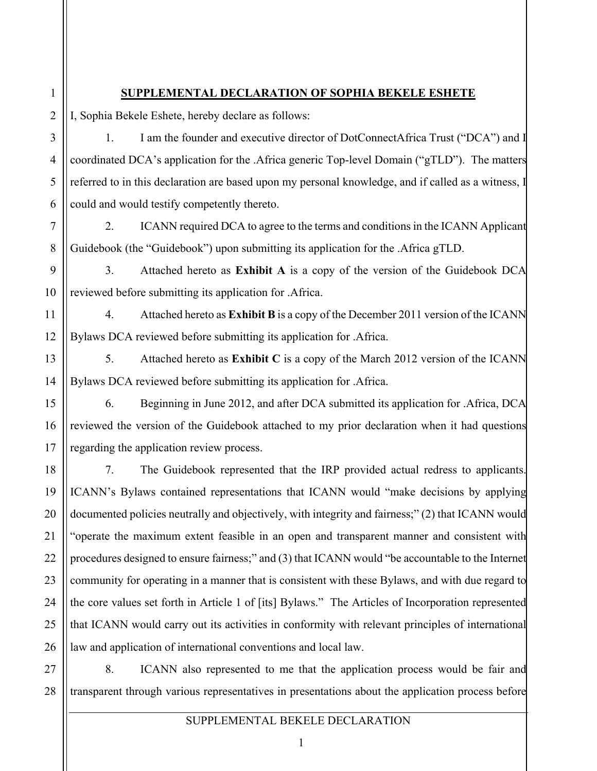## **SUPPLEMENTAL DECLARATION OF SOPHIA BEKELE ESHETE**

I, Sophia Bekele Eshete, hereby declare as follows:

1

 $\overline{2}$ 

3

4

5

6

7

8

9

10

11

12

13

14

15

16

17

18

19

20

21

22

23

24

25

26

1. I am the founder and executive director of DotConnectAfrica Trust ("DCA") and I coordinated DCA's application for the .Africa generic Top-level Domain ("gTLD"). The matters referred to in this declaration are based upon my personal knowledge, and if called as a witness, I could and would testify competently thereto.

2. ICANN required DCA to agree to the terms and conditions in the ICANN Applicant Guidebook (the "Guidebook") upon submitting its application for the .Africa gTLD.

3. Attached hereto as **Exhibit A** is a copy of the version of the Guidebook DCA reviewed before submitting its application for .Africa.

4. Attached hereto as **Exhibit B** is a copy of the December 2011 version of the ICANN Bylaws DCA reviewed before submitting its application for .Africa.

5. Attached hereto as **Exhibit C** is a copy of the March 2012 version of the ICANN Bylaws DCA reviewed before submitting its application for .Africa.

6. Beginning in June 2012, and after DCA submitted its application for .Africa, DCA reviewed the version of the Guidebook attached to my prior declaration when it had questions regarding the application review process.

7. The Guidebook represented that the IRP provided actual redress to applicants. ICANN's Bylaws contained representations that ICANN would "make decisions by applying documented policies neutrally and objectively, with integrity and fairness;" (2) that ICANN would "operate the maximum extent feasible in an open and transparent manner and consistent with procedures designed to ensure fairness;" and (3) that ICANN would "be accountable to the Internet community for operating in a manner that is consistent with these Bylaws, and with due regard to the core values set forth in Article 1 of [its] Bylaws." The Articles of Incorporation represented that ICANN would carry out its activities in conformity with relevant principles of international law and application of international conventions and local law.

27 28 8. ICANN also represented to me that the application process would be fair and transparent through various representatives in presentations about the application process before

## SUPPLEMENTAL BEKELE DECLARATION